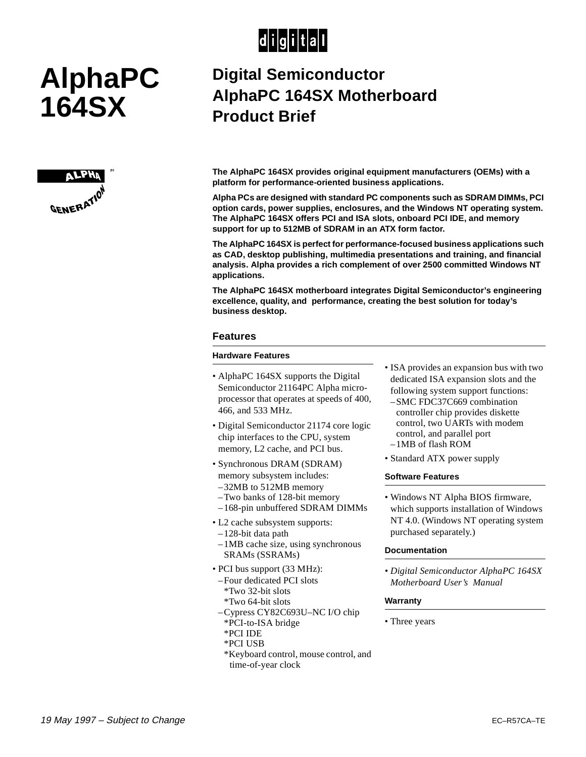## $|d|i|g|i|t|a|l|$

# **AlphaPC 164SX**



### **Digital Semiconductor AlphaPC 164SX Motherboard Product Brief**

**The AlphaPC 164SX provides original equipment manufacturers (OEMs) with a platform for performance-oriented business applications.** 

**Alpha PCs are designed with standard PC components such as SDRAM DIMMs, PCI option cards, power supplies, enclosures, and the Windows NT operating system. The AlphaPC 164SX offers PCI and ISA slots, onboard PCI IDE, and memory support for up to 512MB of SDRAM in an ATX form factor.**

**The AlphaPC 164SX is perfect for performance-focused business applications such as CAD, desktop publishing, multimedia presentations and training, and financial analysis. Alpha provides a rich complement of over 2500 committed Windows NT applications.**

**The AlphaPC 164SX motherboard integrates Digital Semiconductor's engineering excellence, quality, and performance, creating the best solution for today's business desktop.**

#### **Features**

#### **Hardware Features**

- AlphaPC 164SX supports the Digital Semiconductor 21164PC Alpha microprocessor that operates at speeds of 400, 466, and 533 MHz.
- Digital Semiconductor 21174 core logic chip interfaces to the CPU, system memory, L2 cache, and PCI bus.
- Synchronous DRAM (SDRAM) memory subsystem includes:
- –32MB to 512MB memory
- –Two banks of 128-bit memory
- –168-pin unbuffered SDRAM DIMMs
- L2 cache subsystem supports:
- –128-bit data path
- –1MB cache size, using synchronous SRAMs (SSRAMs)
- PCI bus support (33 MHz):
- –Four dedicated PCI slots \*Two 32-bit slots
- \*Two 64-bit slots
- –Cypress CY82C693U–NC I/O chip
- \*PCI-to-ISA bridge
- \*PCI IDE
- \*PCI USB
- \*Keyboard control, mouse control, and time-of-year clock
- ISA provides an expansion bus with two dedicated ISA expansion slots and the following system support functions:
- –SMC FDC37C669 combination controller chip provides diskette control, two UARTs with modem control, and parallel port –1MB of flash ROM
- Standard ATX power supply

#### **Software Features**

• Windows NT Alpha BIOS firmware, which supports installation of Windows NT 4.0. (Windows NT operating system purchased separately.)

#### **Documentation**

*• Digital Semiconductor AlphaPC 164SX Motherboard User's Manual*

#### **Warranty**

• Three years